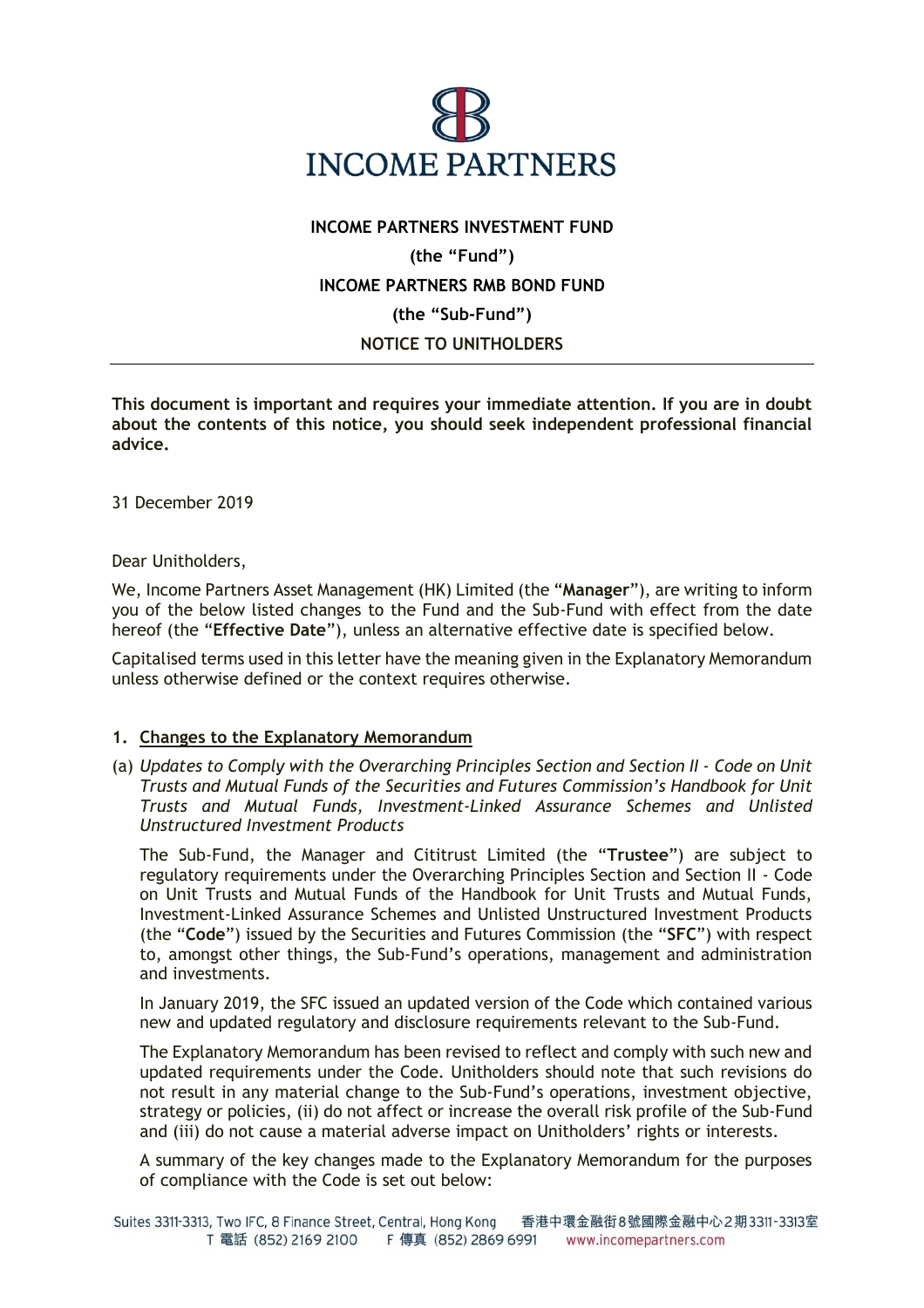

# **INCOME PARTNERS INVESTMENT FUND (the "Fund") INCOME PARTNERS RMB BOND FUND (the "Sub-Fund") NOTICE TO UNITHOLDERS**

**This document is important and requires your immediate attention. If you are in doubt about the contents of this notice, you should seek independent professional financial advice.**

31 December 2019

Dear Unitholders,

We, Income Partners Asset Management (HK) Limited (the "**Manager**"), are writing to inform you of the below listed changes to the Fund and the Sub-Fund with effect from the date hereof (the "**Effective Date**"), unless an alternative effective date is specified below.

Capitalised terms used in this letter have the meaning given in the Explanatory Memorandum unless otherwise defined or the context requires otherwise.

#### **1. Changes to the Explanatory Memorandum**

(a) *Updates to Comply with the Overarching Principles Section and Section II - Code on Unit Trusts and Mutual Funds of the Securities and Futures Commission's Handbook for Unit Trusts and Mutual Funds, Investment-Linked Assurance Schemes and Unlisted Unstructured Investment Products*

The Sub-Fund, the Manager and Cititrust Limited (the "**Trustee**") are subject to regulatory requirements under the Overarching Principles Section and Section II - Code on Unit Trusts and Mutual Funds of the Handbook for Unit Trusts and Mutual Funds, Investment-Linked Assurance Schemes and Unlisted Unstructured Investment Products (the "**Code**") issued by the Securities and Futures Commission (the "**SFC**") with respect to, amongst other things, the Sub-Fund's operations, management and administration and investments.

In January 2019, the SFC issued an updated version of the Code which contained various new and updated regulatory and disclosure requirements relevant to the Sub-Fund.

The Explanatory Memorandum has been revised to reflect and comply with such new and updated requirements under the Code. Unitholders should note that such revisions do not result in any material change to the Sub-Fund's operations, investment objective, strategy or policies, (ii) do not affect or increase the overall risk profile of the Sub-Fund and (iii) do not cause a material adverse impact on Unitholders' rights or interests.

A summary of the key changes made to the Explanatory Memorandum for the purposes of compliance with the Code is set out below: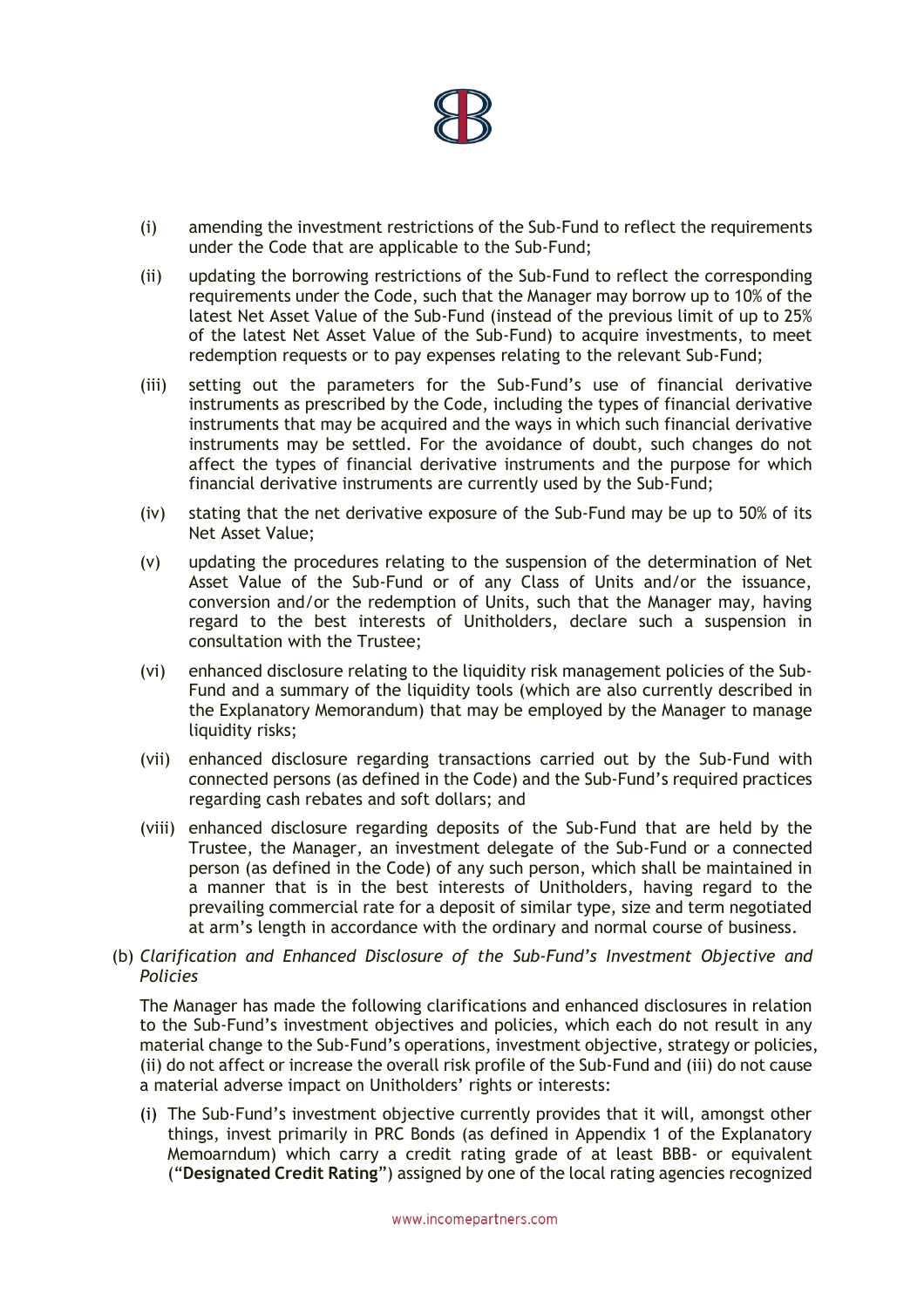

- (i) amending the investment restrictions of the Sub-Fund to reflect the requirements under the Code that are applicable to the Sub-Fund;
- (ii) updating the borrowing restrictions of the Sub-Fund to reflect the corresponding requirements under the Code, such that the Manager may borrow up to 10% of the latest Net Asset Value of the Sub-Fund (instead of the previous limit of up to 25% of the latest Net Asset Value of the Sub-Fund) to acquire investments, to meet redemption requests or to pay expenses relating to the relevant Sub-Fund;
- (iii) setting out the parameters for the Sub-Fund's use of financial derivative instruments as prescribed by the Code, including the types of financial derivative instruments that may be acquired and the ways in which such financial derivative instruments may be settled. For the avoidance of doubt, such changes do not affect the types of financial derivative instruments and the purpose for which financial derivative instruments are currently used by the Sub-Fund;
- (iv) stating that the net derivative exposure of the Sub-Fund may be up to 50% of its Net Asset Value;
- (v) updating the procedures relating to the suspension of the determination of Net Asset Value of the Sub-Fund or of any Class of Units and/or the issuance, conversion and/or the redemption of Units, such that the Manager may, having regard to the best interests of Unitholders, declare such a suspension in consultation with the Trustee;
- (vi) enhanced disclosure relating to the liquidity risk management policies of the Sub-Fund and a summary of the liquidity tools (which are also currently described in the Explanatory Memorandum) that may be employed by the Manager to manage liquidity risks;
- (vii) enhanced disclosure regarding transactions carried out by the Sub-Fund with connected persons (as defined in the Code) and the Sub-Fund's required practices regarding cash rebates and soft dollars; and
- (viii) enhanced disclosure regarding deposits of the Sub-Fund that are held by the Trustee, the Manager, an investment delegate of the Sub-Fund or a connected person (as defined in the Code) of any such person, which shall be maintained in a manner that is in the best interests of Unitholders, having regard to the prevailing commercial rate for a deposit of similar type, size and term negotiated at arm's length in accordance with the ordinary and normal course of business.
- (b) *Clarification and Enhanced Disclosure of the Sub-Fund's Investment Objective and Policies*

The Manager has made the following clarifications and enhanced disclosures in relation to the Sub-Fund's investment objectives and policies, which each do not result in any material change to the Sub-Fund's operations, investment objective, strategy or policies, (ii) do not affect or increase the overall risk profile of the Sub-Fund and (iii) do not cause a material adverse impact on Unitholders' rights or interests:

(i) The Sub-Fund's investment objective currently provides that it will, amongst other things, invest primarily in PRC Bonds (as defined in Appendix 1 of the Explanatory Memoarndum) which carry a credit rating grade of at least BBB- or equivalent ("**Designated Credit Rating**") assigned by one of the local rating agencies recognized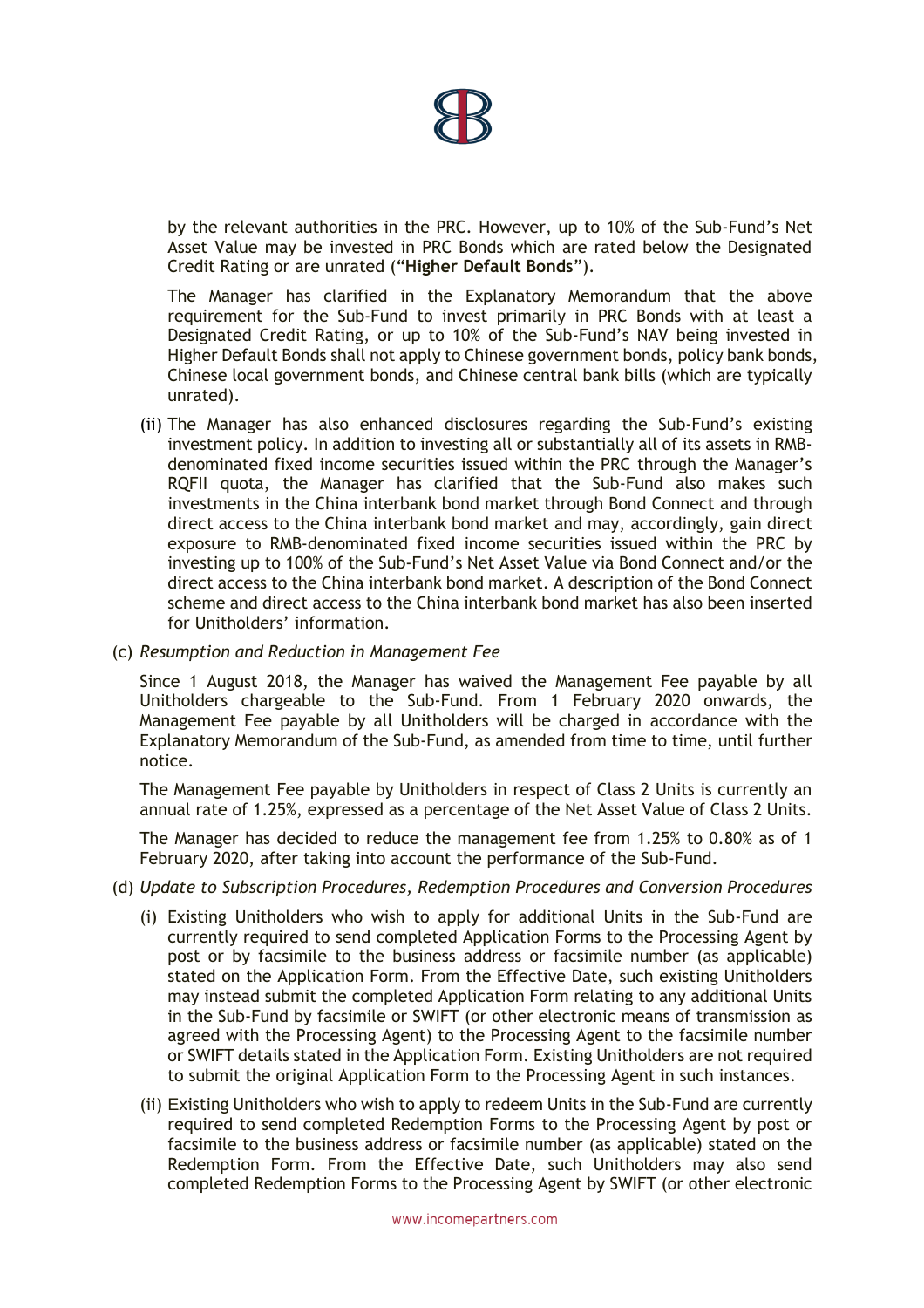

by the relevant authorities in the PRC. However, up to 10% of the Sub-Fund's Net Asset Value may be invested in PRC Bonds which are rated below the Designated Credit Rating or are unrated ("**Higher Default Bonds**").

The Manager has clarified in the Explanatory Memorandum that the above requirement for the Sub-Fund to invest primarily in PRC Bonds with at least a Designated Credit Rating, or up to 10% of the Sub-Fund's NAV being invested in Higher Default Bonds shall not apply to Chinese government bonds, policy bank bonds, Chinese local government bonds, and Chinese central bank bills (which are typically unrated).

- (ii) The Manager has also enhanced disclosures regarding the Sub-Fund's existing investment policy. In addition to investing all or substantially all of its assets in RMBdenominated fixed income securities issued within the PRC through the Manager's RQFII quota, the Manager has clarified that the Sub-Fund also makes such investments in the China interbank bond market through Bond Connect and through direct access to the China interbank bond market and may, accordingly, gain direct exposure to RMB-denominated fixed income securities issued within the PRC by investing up to 100% of the Sub-Fund's Net Asset Value via Bond Connect and/or the direct access to the China interbank bond market. A description of the Bond Connect scheme and direct access to the China interbank bond market has also been inserted for Unitholders' information.
- (c) *Resumption and Reduction in Management Fee*

Since 1 August 2018, the Manager has waived the Management Fee payable by all Unitholders chargeable to the Sub-Fund. From 1 February 2020 onwards, the Management Fee payable by all Unitholders will be charged in accordance with the Explanatory Memorandum of the Sub-Fund, as amended from time to time, until further notice.

The Management Fee payable by Unitholders in respect of Class 2 Units is currently an annual rate of 1.25%, expressed as a percentage of the Net Asset Value of Class 2 Units.

The Manager has decided to reduce the management fee from 1.25% to 0.80% as of 1 February 2020, after taking into account the performance of the Sub-Fund.

- (d) *Update to Subscription Procedures, Redemption Procedures and Conversion Procedures*
	- to submit the original Application Form to the Processing Agent in such instances. (i) Existing Unitholders who wish to apply for additional Units in the Sub-Fund are currently required to send completed Application Forms to the Processing Agent by post or by facsimile to the business address or facsimile number (as applicable) stated on the Application Form. From the Effective Date, such existing Unitholders may instead submit the completed Application Form relating to any additional Units in the Sub-Fund by facsimile or SWIFT (or other electronic means of transmission as agreed with the Processing Agent) to the Processing Agent to the facsimile number or SWIFT details stated in the Application Form. Existing Unitholders are not required
	- (ii) Existing Unitholders who wish to apply to redeem Units in the Sub-Fund are currently required to send completed Redemption Forms to the Processing Agent by post or facsimile to the business address or facsimile number (as applicable) stated on the Redemption Form. From the Effective Date, such Unitholders may also send completed Redemption Forms to the Processing Agent by SWIFT (or other electronic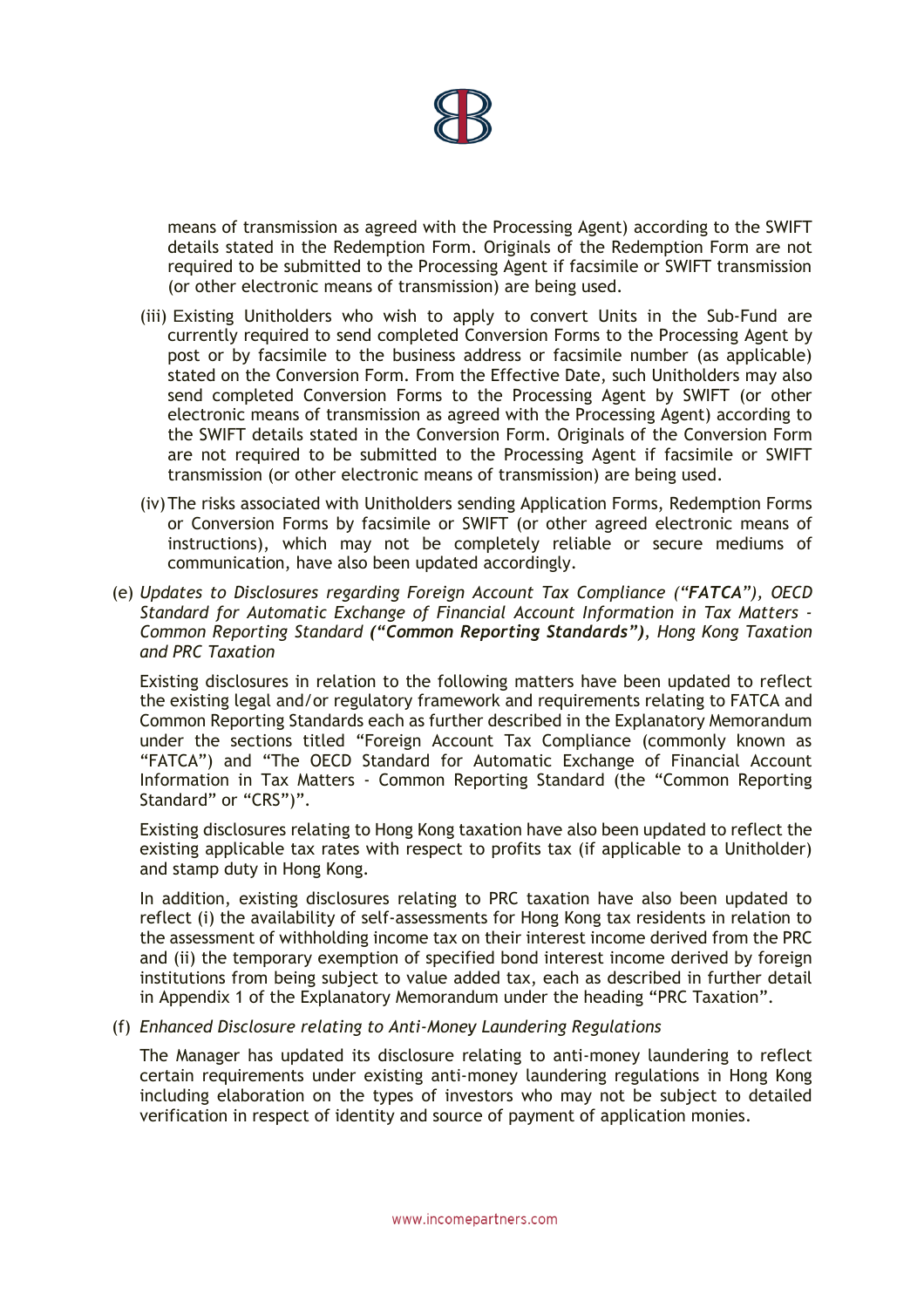

means of transmission as agreed with the Processing Agent) according to the SWIFT details stated in the Redemption Form. Originals of the Redemption Form are not required to be submitted to the Processing Agent if facsimile or SWIFT transmission (or other electronic means of transmission) are being used.

- (iii) Existing Unitholders who wish to apply to convert Units in the Sub-Fund are currently required to send completed Conversion Forms to the Processing Agent by post or by facsimile to the business address or facsimile number (as applicable) stated on the Conversion Form. From the Effective Date, such Unitholders may also send completed Conversion Forms to the Processing Agent by SWIFT (or other electronic means of transmission as agreed with the Processing Agent) according to the SWIFT details stated in the Conversion Form. Originals of the Conversion Form are not required to be submitted to the Processing Agent if facsimile or SWIFT transmission (or other electronic means of transmission) are being used.
- (iv)The risks associated with Unitholders sending Application Forms, Redemption Forms or Conversion Forms by facsimile or SWIFT (or other agreed electronic means of instructions), which may not be completely reliable or secure mediums of communication, have also been updated accordingly.
- (e) *Updates to Disclosures regarding Foreign Account Tax Compliance ("FATCA"), OECD Standard for Automatic Exchange of Financial Account Information in Tax Matters - Common Reporting Standard ("Common Reporting Standards"), Hong Kong Taxation and PRC Taxation*

Existing disclosures in relation to the following matters have been updated to reflect the existing legal and/or regulatory framework and requirements relating to FATCA and Common Reporting Standards each as further described in the Explanatory Memorandum under the sections titled "Foreign Account Tax Compliance (commonly known as "FATCA") and "The OECD Standard for Automatic Exchange of Financial Account Information in Tax Matters - Common Reporting Standard (the "Common Reporting Standard" or "CRS")".

Existing disclosures relating to Hong Kong taxation have also been updated to reflect the existing applicable tax rates with respect to profits tax (if applicable to a Unitholder) and stamp duty in Hong Kong.

In addition, existing disclosures relating to PRC taxation have also been updated to reflect (i) the availability of self-assessments for Hong Kong tax residents in relation to the assessment of withholding income tax on their interest income derived from the PRC and (ii) the temporary exemption of specified bond interest income derived by foreign institutions from being subject to value added tax, each as described in further detail in Appendix 1 of the Explanatory Memorandum under the heading "PRC Taxation".

#### (f) *Enhanced Disclosure relating to Anti-Money Laundering Regulations*

certain requirements under existing anti-money laundering regulations in Hong Kong The Manager has updated its disclosure relating to anti-money laundering to reflect including elaboration on the types of investors who may not be subject to detailed verification in respect of identity and source of payment of application monies.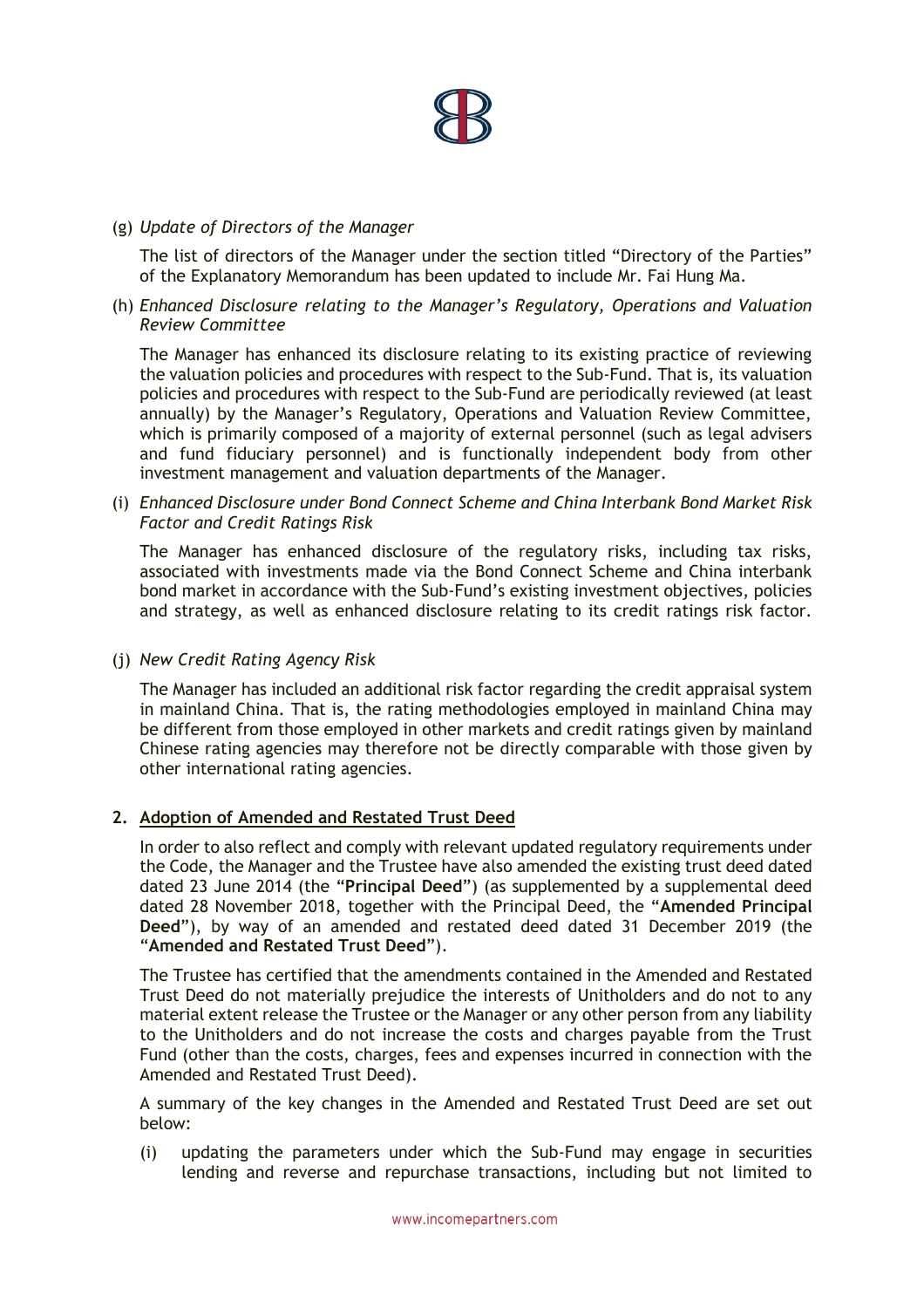

## (g) *Update of Directors of the Manager*

The list of directors of the Manager under the section titled "Directory of the Parties" of the Explanatory Memorandum has been updated to include Mr. Fai Hung Ma.

(h) *Enhanced Disclosure relating to the Manager's Regulatory, Operations and Valuation Review Committee* 

The Manager has enhanced its disclosure relating to its existing practice of reviewing the valuation policies and procedures with respect to the Sub-Fund. That is, its valuation policies and procedures with respect to the Sub-Fund are periodically reviewed (at least annually) by the Manager's Regulatory, Operations and Valuation Review Committee, which is primarily composed of a majority of external personnel (such as legal advisers and fund fiduciary personnel) and is functionally independent body from other investment management and valuation departments of the Manager.

(i) *Enhanced Disclosure under Bond Connect Scheme and China Interbank Bond Market Risk Factor and Credit Ratings Risk* 

The Manager has enhanced disclosure of the regulatory risks, including tax risks, associated with investments made via the Bond Connect Scheme and China interbank bond market in accordance with the Sub-Fund's existing investment objectives, policies and strategy, as well as enhanced disclosure relating to its credit ratings risk factor.

### (j) *New Credit Rating Agency Risk*

The Manager has included an additional risk factor regarding the credit appraisal system in mainland China. That is, the rating methodologies employed in mainland China may be different from those employed in other markets and credit ratings given by mainland Chinese rating agencies may therefore not be directly comparable with those given by other international rating agencies.

## **2. Adoption of Amended and Restated Trust Deed**

In order to also reflect and comply with relevant updated regulatory requirements under the Code, the Manager and the Trustee have also amended the existing trust deed dated dated 23 June 2014 (the "**Principal Deed**") (as supplemented by a supplemental deed dated 28 November 2018, together with the Principal Deed, the "**Amended Principal Deed**"), by way of an amended and restated deed dated 31 December 2019 (the "**Amended and Restated Trust Deed**").

The Trustee has certified that the amendments contained in the Amended and Restated Trust Deed do not materially prejudice the interests of Unitholders and do not to any material extent release the Trustee or the Manager or any other person from any liability to the Unitholders and do not increase the costs and charges payable from the Trust Fund (other than the costs, charges, fees and expenses incurred in connection with the Amended and Restated Trust Deed).

A summary of the key changes in the Amended and Restated Trust Deed are set out below:

(i) updating the parameters under which the Sub-Fund may engage in securities lending and reverse and repurchase transactions, including but not limited to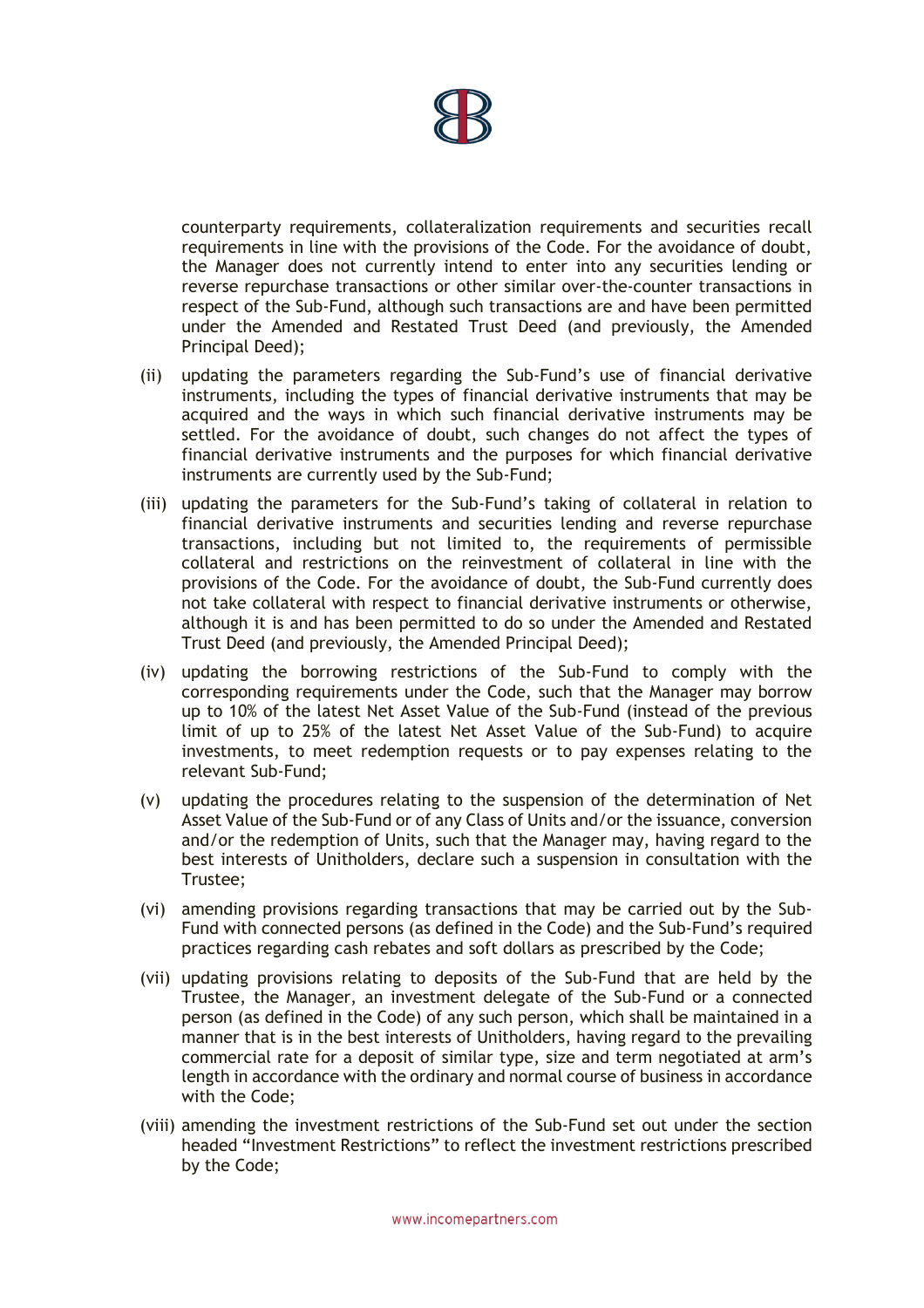

counterparty requirements, collateralization requirements and securities recall requirements in line with the provisions of the Code. For the avoidance of doubt, the Manager does not currently intend to enter into any securities lending or reverse repurchase transactions or other similar over-the-counter transactions in respect of the Sub-Fund, although such transactions are and have been permitted under the Amended and Restated Trust Deed (and previously, the Amended Principal Deed);

- (ii) updating the parameters regarding the Sub-Fund's use of financial derivative instruments, including the types of financial derivative instruments that may be acquired and the ways in which such financial derivative instruments may be settled. For the avoidance of doubt, such changes do not affect the types of financial derivative instruments and the purposes for which financial derivative instruments are currently used by the Sub-Fund;
- (iii) updating the parameters for the Sub-Fund's taking of collateral in relation to financial derivative instruments and securities lending and reverse repurchase transactions, including but not limited to, the requirements of permissible collateral and restrictions on the reinvestment of collateral in line with the provisions of the Code. For the avoidance of doubt, the Sub-Fund currently does not take collateral with respect to financial derivative instruments or otherwise, although it is and has been permitted to do so under the Amended and Restated Trust Deed (and previously, the Amended Principal Deed);
- (iv) updating the borrowing restrictions of the Sub-Fund to comply with the corresponding requirements under the Code, such that the Manager may borrow up to 10% of the latest Net Asset Value of the Sub-Fund (instead of the previous limit of up to 25% of the latest Net Asset Value of the Sub-Fund) to acquire investments, to meet redemption requests or to pay expenses relating to the relevant Sub-Fund;
- (v) updating the procedures relating to the suspension of the determination of Net Asset Value of the Sub-Fund or of any Class of Units and/or the issuance, conversion and/or the redemption of Units, such that the Manager may, having regard to the best interests of Unitholders, declare such a suspension in consultation with the Trustee;
- (vi) amending provisions regarding transactions that may be carried out by the Sub-Fund with connected persons (as defined in the Code) and the Sub-Fund's required practices regarding cash rebates and soft dollars as prescribed by the Code;
- length in accordance with the ordinary and normal course of business in accordance (vii) updating provisions relating to deposits of the Sub-Fund that are held by the Trustee, the Manager, an investment delegate of the Sub-Fund or a connected person (as defined in the Code) of any such person, which shall be maintained in a manner that is in the best interests of Unitholders, having regard to the prevailing commercial rate for a deposit of similar type, size and term negotiated at arm's with the Code;
- (viii) amending the investment restrictions of the Sub-Fund set out under the section headed "Investment Restrictions" to reflect the investment restrictions prescribed by the Code;